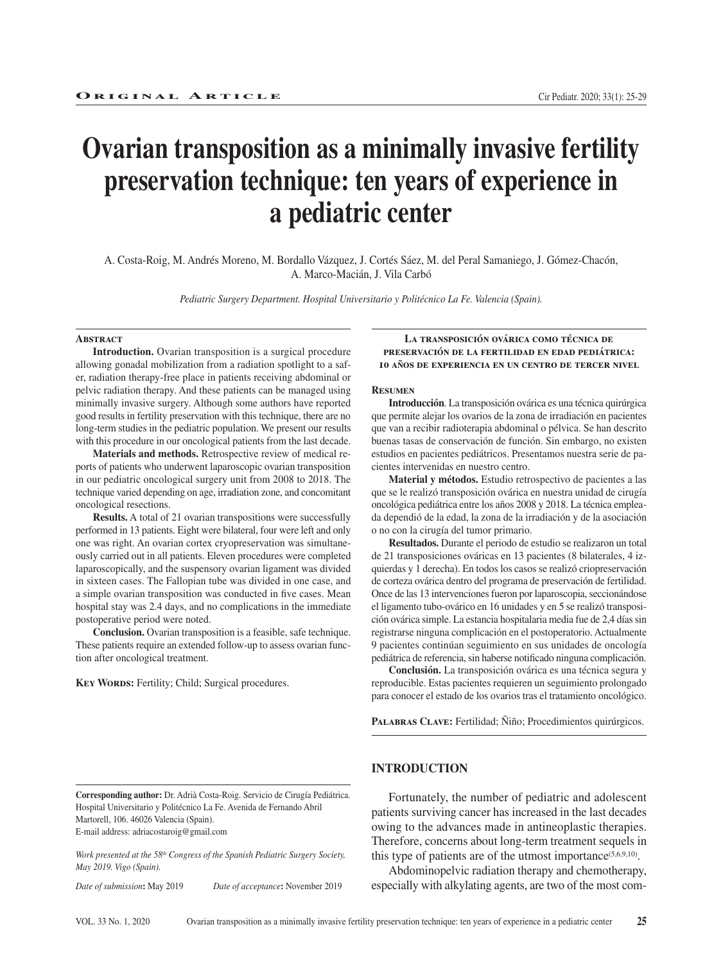# **Ovarian transposition as a minimally invasive fertility preservation technique: ten years of experience in a pediatric center**

A. Costa-Roig, M. Andrés Moreno, M. Bordallo Vázquez, J. Cortés Sáez, M. del Peral Samaniego, J. Gómez-Chacón, A. Marco-Macián, J. Vila Carbó

*Pediatric Surgery Department. Hospital Universitario y Politécnico La Fe. Valencia (Spain).*

#### **ABSTRACT**

**Introduction.** Ovarian transposition is a surgical procedure allowing gonadal mobilization from a radiation spotlight to a safer, radiation therapy-free place in patients receiving abdominal or pelvic radiation therapy. And these patients can be managed using minimally invasive surgery. Although some authors have reported good results in fertility preservation with this technique, there are no long-term studies in the pediatric population. We present our results with this procedure in our oncological patients from the last decade.

**Materials and methods.** Retrospective review of medical reports of patients who underwent laparoscopic ovarian transposition in our pediatric oncological surgery unit from 2008 to 2018. The technique varied depending on age, irradiation zone, and concomitant oncological resections.

**Results.** A total of 21 ovarian transpositions were successfully performed in 13 patients. Eight were bilateral, four were left and only one was right. An ovarian cortex cryopreservation was simultaneously carried out in all patients. Eleven procedures were completed laparoscopically, and the suspensory ovarian ligament was divided in sixteen cases. The Fallopian tube was divided in one case, and a simple ovarian transposition was conducted in five cases. Mean hospital stay was 2.4 days, and no complications in the immediate postoperative period were noted.

**Conclusion.** Ovarian transposition is a feasible, safe technique. These patients require an extended follow-up to assess ovarian function after oncological treatment.

KEY WORDS: Fertility; Child; Surgical procedures.

**La transposición ovárica como técnica de preservación de la fertilidad en edad pediátrica: 10 años de experiencia en un centro de tercer nivel**

#### **Resumen**

**Introducción**. La transposición ovárica es una técnica quirúrgica que permite alejar los ovarios de la zona de irradiación en pacientes que van a recibir radioterapia abdominal o pélvica. Se han descrito buenas tasas de conservación de función. Sin embargo, no existen estudios en pacientes pediátricos. Presentamos nuestra serie de pacientes intervenidas en nuestro centro.

**Material y métodos.** Estudio retrospectivo de pacientes a las que se le realizó transposición ovárica en nuestra unidad de cirugía oncológica pediátrica entre los años 2008 y 2018. La técnica empleada dependió de la edad, la zona de la irradiación y de la asociación o no con la cirugía del tumor primario.

**Resultados.** Durante el periodo de estudio se realizaron un total de 21 transposiciones ováricas en 13 pacientes (8 bilaterales, 4 izquierdas y 1 derecha). En todos los casos se realizó criopreservación de corteza ovárica dentro del programa de preservación de fertilidad. Once de las 13 intervenciones fueron por laparoscopia, seccionándose el ligamento tubo-ovárico en 16 unidades y en 5 se realizó transposición ovárica simple. La estancia hospitalaria media fue de 2,4 días sin registrarse ninguna complicación en el postoperatorio. Actualmente 9 pacientes continúan seguimiento en sus unidades de oncología pediátrica de referencia, sin haberse notificado ninguna complicación.

**Conclusión.** La transposición ovárica es una técnica segura y reproducible. Estas pacientes requieren un seguimiento prolongado para conocer el estado de los ovarios tras el tratamiento oncológico.

PALABRAS CLAVE: Fertilidad; Ñiño; Procedimientos quirúrgicos.

**Corresponding author:** Dr. Adrià Costa-Roig. Servicio de Cirugía Pediátrica. Hospital Universitario y Politécnico La Fe. Avenida de Fernando Abril Martorell, 106. 46026 Valencia (Spain). E-mail address: adriacostaroig@gmail.com

*Work presented at the 58th Congress of the Spanish Pediatric Surgery Society, May 2019. Vigo (Spain).*

*Date of submission***:** May 2019 *Date of acceptance***:** November 2019

**INTRODUCTION**

Fortunately, the number of pediatric and adolescent patients surviving cancer has increased in the last decades owing to the advances made in antineoplastic therapies. Therefore, concerns about long-term treatment sequels in this type of patients are of the utmost importance<sup>(5,6,9,10)</sup>.

Abdominopelvic radiation therapy and chemotherapy, especially with alkylating agents, are two of the most com-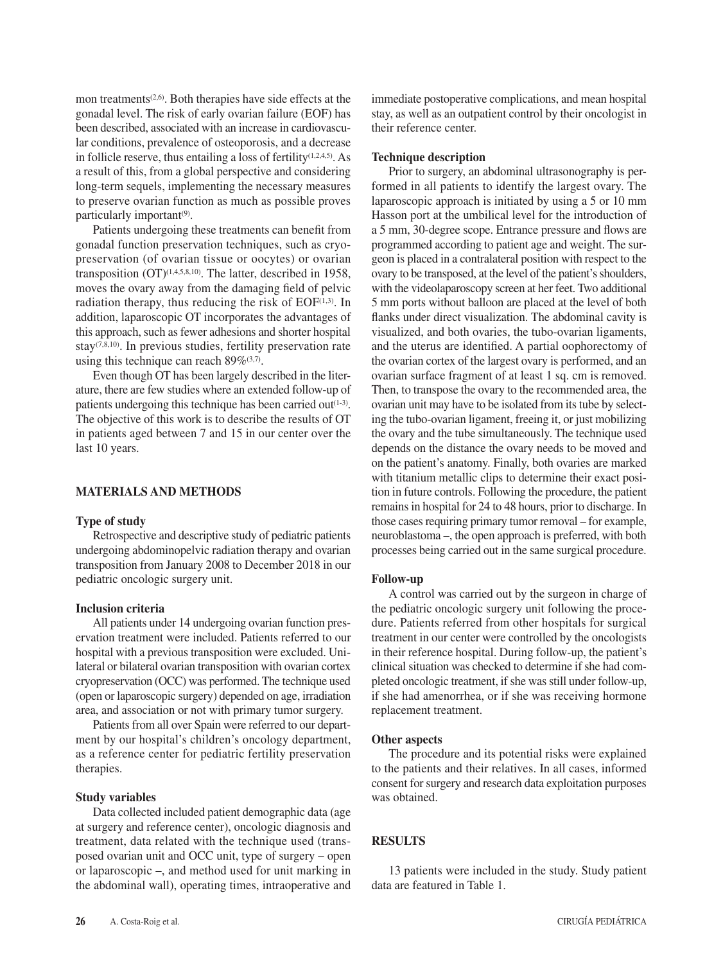mon treatments<sup>(2,6)</sup>. Both therapies have side effects at the gonadal level. The risk of early ovarian failure (EOF) has been described, associated with an increase in cardiovascular conditions, prevalence of osteoporosis, and a decrease in follicle reserve, thus entailing a loss of fertility $(1,2,4,5)$ . As a result of this, from a global perspective and considering long-term sequels, implementing the necessary measures to preserve ovarian function as much as possible proves particularly important<sup>(9)</sup>.

Patients undergoing these treatments can benefit from gonadal function preservation techniques, such as cryopreservation (of ovarian tissue or oocytes) or ovarian transposition  $(OT)^{(1,4,5,8,10)}$ . The latter, described in 1958, moves the ovary away from the damaging field of pelvic radiation therapy, thus reducing the risk of  $EOF<sup>(1,3)</sup>$ . In addition, laparoscopic OT incorporates the advantages of this approach, such as fewer adhesions and shorter hospital stay<sup> $(7,8,10)$ </sup>. In previous studies, fertility preservation rate using this technique can reach  $89\%$ <sup>(3,7)</sup>.

Even though OT has been largely described in the literature, there are few studies where an extended follow-up of patients undergoing this technique has been carried out $(1-3)$ . The objective of this work is to describe the results of OT in patients aged between 7 and 15 in our center over the last 10 years.

# **MATERIALS AND METHODS**

## **Type of study**

Retrospective and descriptive study of pediatric patients undergoing abdominopelvic radiation therapy and ovarian transposition from January 2008 to December 2018 in our pediatric oncologic surgery unit.

#### **Inclusion criteria**

All patients under 14 undergoing ovarian function preservation treatment were included. Patients referred to our hospital with a previous transposition were excluded. Unilateral or bilateral ovarian transposition with ovarian cortex cryopreservation (OCC) was performed. The technique used (open or laparoscopic surgery) depended on age, irradiation area, and association or not with primary tumor surgery.

Patients from all over Spain were referred to our department by our hospital's children's oncology department, as a reference center for pediatric fertility preservation therapies.

#### **Study variables**

Data collected included patient demographic data (age at surgery and reference center), oncologic diagnosis and treatment, data related with the technique used (transposed ovarian unit and OCC unit, type of surgery – open or laparoscopic –, and method used for unit marking in the abdominal wall), operating times, intraoperative and immediate postoperative complications, and mean hospital stay, as well as an outpatient control by their oncologist in their reference center.

#### **Technique description**

Prior to surgery, an abdominal ultrasonography is performed in all patients to identify the largest ovary. The laparoscopic approach is initiated by using a 5 or 10 mm Hasson port at the umbilical level for the introduction of a 5 mm, 30-degree scope. Entrance pressure and flows are programmed according to patient age and weight. The surgeon is placed in a contralateral position with respect to the ovary to be transposed, at the level of the patient's shoulders, with the videolaparoscopy screen at her feet. Two additional 5 mm ports without balloon are placed at the level of both flanks under direct visualization. The abdominal cavity is visualized, and both ovaries, the tubo-ovarian ligaments, and the uterus are identified. A partial oophorectomy of the ovarian cortex of the largest ovary is performed, and an ovarian surface fragment of at least 1 sq. cm is removed. Then, to transpose the ovary to the recommended area, the ovarian unit may have to be isolated from its tube by selecting the tubo-ovarian ligament, freeing it, or just mobilizing the ovary and the tube simultaneously. The technique used depends on the distance the ovary needs to be moved and on the patient's anatomy. Finally, both ovaries are marked with titanium metallic clips to determine their exact position in future controls. Following the procedure, the patient remains in hospital for 24 to 48 hours, prior to discharge. In those cases requiring primary tumor removal – for example, neuroblastoma –, the open approach is preferred, with both processes being carried out in the same surgical procedure.

#### **Follow-up**

A control was carried out by the surgeon in charge of the pediatric oncologic surgery unit following the procedure. Patients referred from other hospitals for surgical treatment in our center were controlled by the oncologists in their reference hospital. During follow-up, the patient's clinical situation was checked to determine if she had completed oncologic treatment, if she was still under follow-up, if she had amenorrhea, or if she was receiving hormone replacement treatment.

#### **Other aspects**

The procedure and its potential risks were explained to the patients and their relatives. In all cases, informed consent for surgery and research data exploitation purposes was obtained.

# **RESULTS**

13 patients were included in the study. Study patient data are featured in Table 1.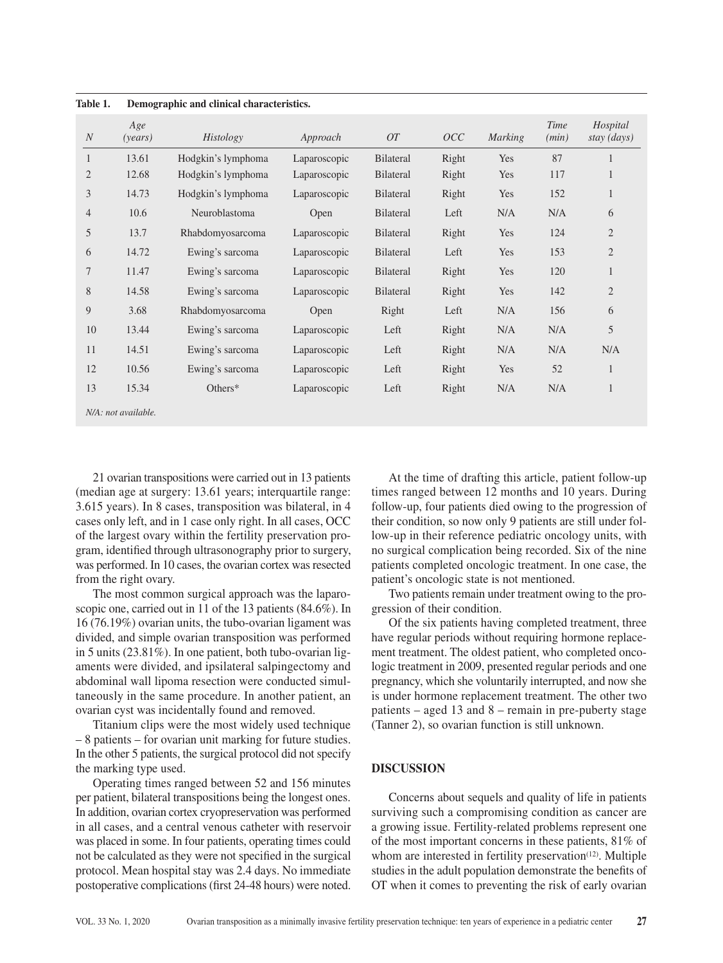| $\boldsymbol{N}$ | Age<br>(years)      | Histology          | Approach     | OT               | OCC   | <b>Marking</b> | Time<br>(min) | Hospital<br>stay (days) |
|------------------|---------------------|--------------------|--------------|------------------|-------|----------------|---------------|-------------------------|
| 1                | 13.61               | Hodgkin's lymphoma | Laparoscopic | <b>Bilateral</b> | Right | Yes            | 87            | 1                       |
| $\overline{2}$   | 12.68               | Hodgkin's lymphoma | Laparoscopic | <b>Bilateral</b> | Right | Yes            | 117           | $\mathbf{1}$            |
| 3                | 14.73               | Hodgkin's lymphoma | Laparoscopic | <b>Bilateral</b> | Right | Yes            | 152           | $\mathbf{1}$            |
| $\overline{4}$   | 10.6                | Neuroblastoma      | Open         | <b>Bilateral</b> | Left  | N/A            | N/A           | 6                       |
| 5                | 13.7                | Rhabdomyosarcoma   | Laparoscopic | <b>Bilateral</b> | Right | Yes            | 124           | $\mathfrak{2}$          |
| 6                | 14.72               | Ewing's sarcoma    | Laparoscopic | <b>Bilateral</b> | Left  | Yes            | 153           | 2                       |
| 7                | 11.47               | Ewing's sarcoma    | Laparoscopic | <b>Bilateral</b> | Right | Yes            | 120           | $\mathbf{1}$            |
| 8                | 14.58               | Ewing's sarcoma    | Laparoscopic | <b>Bilateral</b> | Right | Yes            | 142           | $\overline{2}$          |
| 9                | 3.68                | Rhabdomyosarcoma   | Open         | Right            | Left  | N/A            | 156           | 6                       |
| 10               | 13.44               | Ewing's sarcoma    | Laparoscopic | Left             | Right | N/A            | N/A           | 5                       |
| 11               | 14.51               | Ewing's sarcoma    | Laparoscopic | Left             | Right | N/A            | N/A           | N/A                     |
| 12               | 10.56               | Ewing's sarcoma    | Laparoscopic | Left             | Right | Yes            | 52            | $\mathbf{1}$            |
| 13               | 15.34               | Others*            | Laparoscopic | Left             | Right | N/A            | N/A           | $\mathbf{1}$            |
|                  | N/A: not available. |                    |              |                  |       |                |               |                         |

**Table 1. Demographic and clinical characteristics.**

21 ovarian transpositions were carried out in 13 patients (median age at surgery: 13.61 years; interquartile range: 3.615 years). In 8 cases, transposition was bilateral, in 4 cases only left, and in 1 case only right. In all cases, OCC of the largest ovary within the fertility preservation program, identified through ultrasonography prior to surgery, was performed. In 10 cases, the ovarian cortex was resected from the right ovary.

The most common surgical approach was the laparoscopic one, carried out in 11 of the 13 patients (84.6%). In 16 (76.19%) ovarian units, the tubo-ovarian ligament was divided, and simple ovarian transposition was performed in 5 units (23.81%). In one patient, both tubo-ovarian ligaments were divided, and ipsilateral salpingectomy and abdominal wall lipoma resection were conducted simultaneously in the same procedure. In another patient, an ovarian cyst was incidentally found and removed.

Titanium clips were the most widely used technique – 8 patients – for ovarian unit marking for future studies. In the other 5 patients, the surgical protocol did not specify the marking type used.

Operating times ranged between 52 and 156 minutes per patient, bilateral transpositions being the longest ones. In addition, ovarian cortex cryopreservation was performed in all cases, and a central venous catheter with reservoir was placed in some. In four patients, operating times could not be calculated as they were not specified in the surgical protocol. Mean hospital stay was 2.4 days. No immediate postoperative complications (first 24-48 hours) were noted.

At the time of drafting this article, patient follow-up times ranged between 12 months and 10 years. During follow-up, four patients died owing to the progression of their condition, so now only 9 patients are still under follow-up in their reference pediatric oncology units, with no surgical complication being recorded. Six of the nine patients completed oncologic treatment. In one case, the patient's oncologic state is not mentioned.

Two patients remain under treatment owing to the progression of their condition.

Of the six patients having completed treatment, three have regular periods without requiring hormone replacement treatment. The oldest patient, who completed oncologic treatment in 2009, presented regular periods and one pregnancy, which she voluntarily interrupted, and now she is under hormone replacement treatment. The other two patients – aged 13 and 8 – remain in pre-puberty stage (Tanner 2), so ovarian function is still unknown.

## **DISCUSSION**

Concerns about sequels and quality of life in patients surviving such a compromising condition as cancer are a growing issue. Fertility-related problems represent one of the most important concerns in these patients, 81% of whom are interested in fertility preservation<sup> $(12)$ </sup>. Multiple studies in the adult population demonstrate the benefits of OT when it comes to preventing the risk of early ovarian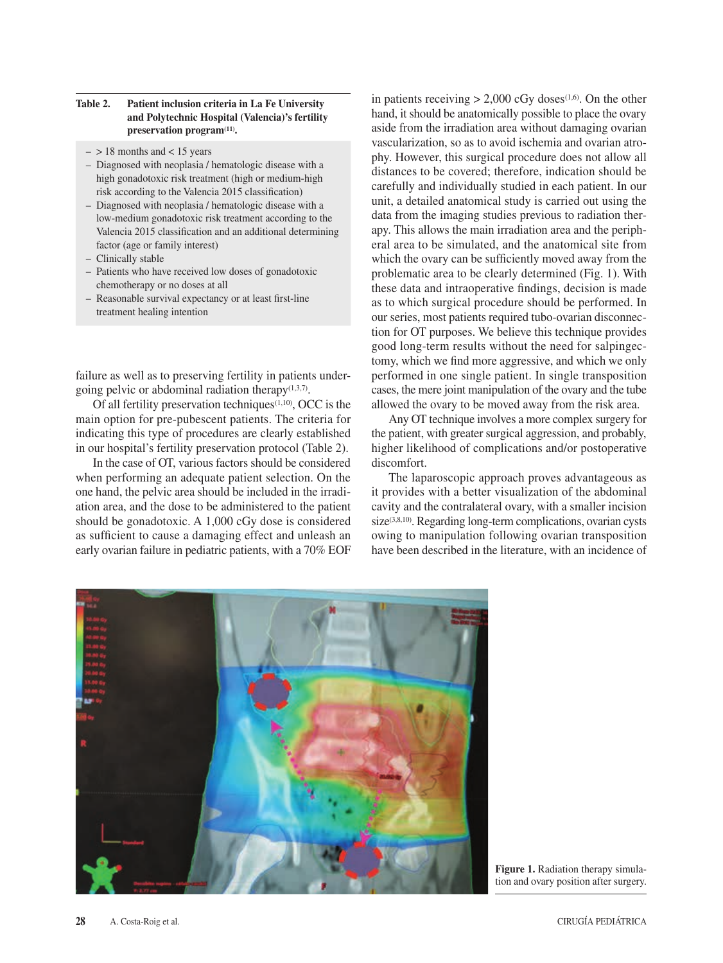## **Table 2. Patient inclusion criteria in La Fe University and Polytechnic Hospital (Valencia)'s fertility**  preservation program<sup>(11)</sup>.

- $-$  > 18 months and < 15 years
- Diagnosed with neoplasia / hematologic disease with a high gonadotoxic risk treatment (high or medium-high risk according to the Valencia 2015 classification)
- Diagnosed with neoplasia / hematologic disease with a low-medium gonadotoxic risk treatment according to the Valencia 2015 classification and an additional determining factor (age or family interest)
- Clinically stable
- Patients who have received low doses of gonadotoxic chemotherapy or no doses at all
- Reasonable survival expectancy or at least first-line treatment healing intention

failure as well as to preserving fertility in patients undergoing pelvic or abdominal radiation therapy $(1,3,7)$ .

Of all fertility preservation techniques $(1,10)$ , OCC is the main option for pre-pubescent patients. The criteria for indicating this type of procedures are clearly established in our hospital's fertility preservation protocol (Table 2).

In the case of OT, various factors should be considered when performing an adequate patient selection. On the one hand, the pelvic area should be included in the irradiation area, and the dose to be administered to the patient should be gonadotoxic. A 1,000 cGy dose is considered as sufficient to cause a damaging effect and unleash an early ovarian failure in pediatric patients, with a 70% EOF

in patients receiving  $> 2,000$  cGy doses<sup>(1,6)</sup>. On the other hand, it should be anatomically possible to place the ovary aside from the irradiation area without damaging ovarian vascularization, so as to avoid ischemia and ovarian atrophy. However, this surgical procedure does not allow all distances to be covered; therefore, indication should be carefully and individually studied in each patient. In our unit, a detailed anatomical study is carried out using the data from the imaging studies previous to radiation therapy. This allows the main irradiation area and the peripheral area to be simulated, and the anatomical site from which the ovary can be sufficiently moved away from the problematic area to be clearly determined (Fig. 1). With these data and intraoperative findings, decision is made as to which surgical procedure should be performed. In our series, most patients required tubo-ovarian disconnection for OT purposes. We believe this technique provides good long-term results without the need for salpingectomy, which we find more aggressive, and which we only performed in one single patient. In single transposition cases, the mere joint manipulation of the ovary and the tube allowed the ovary to be moved away from the risk area.

Any OT technique involves a more complex surgery for the patient, with greater surgical aggression, and probably, higher likelihood of complications and/or postoperative discomfort.

The laparoscopic approach proves advantageous as it provides with a better visualization of the abdominal cavity and the contralateral ovary, with a smaller incision  $size^{(3,8,10)}$ . Regarding long-term complications, ovarian cysts owing to manipulation following ovarian transposition have been described in the literature, with an incidence of



**Figure 1.** Radiation therapy simulation and ovary position after surgery.